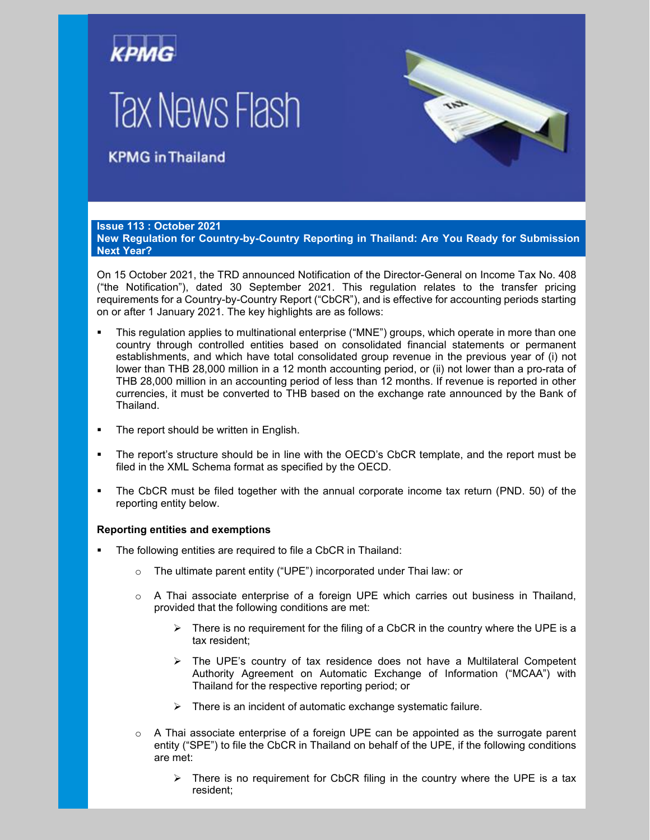# **Tax News Flash**

## **KPMG** in Thailand

#### **Issue 113 : October 2021**

**New Regulation for Country-by-Country Reporting in Thailand: Are You Ready for Submission Next Year?**

On 15 October 2021, the TRD announced Notification of the Director-General on Income Tax No. 408 ("the Notification"), dated 30 September 2021. This regulation relates to the transfer pricing requirements for a Country-by-Country Report ("CbCR"), and is effective for accounting periods starting on or after 1 January 2021. The key highlights are as follows:

- This regulation applies to multinational enterprise ("MNE") groups, which operate in more than one country through controlled entities based on consolidated financial statements or permanent establishments, and which have total consolidated group revenue in the previous year of (i) not lower than THB 28,000 million in a 12 month accounting period, or (ii) not lower than a pro-rata of THB 28,000 million in an accounting period of less than 12 months. If revenue is reported in other currencies, it must be converted to THB based on the exchange rate announced by the Bank of Thailand.
- The report should be written in English.
- The report's structure should be in line with the OECD's CbCR template, and the report must be filed in the XML Schema format as specified by the OECD.
- The CbCR must be filed together with the annual corporate income tax return (PND. 50) of the reporting entity below.

#### **Reporting entities and exemptions**

- The following entities are required to file a CbCR in Thailand:
	- o The ultimate parent entity ("UPE") incorporated under Thai law: or
	- $\circ$  A Thai associate enterprise of a foreign UPE which carries out business in Thailand, provided that the following conditions are met:
		- $\triangleright$  There is no requirement for the filing of a CbCR in the country where the UPE is a tax resident;
		- $\triangleright$  The UPE's country of tax residence does not have a Multilateral Competent Authority Agreement on Automatic Exchange of Information ("MCAA") with Thailand for the respective reporting period; or
		- $\triangleright$  There is an incident of automatic exchange systematic failure.
	- $\circ$  A Thai associate enterprise of a foreign UPE can be appointed as the surrogate parent entity ("SPE") to file the CbCR in Thailand on behalf of the UPE, if the following conditions are met:
		- $\triangleright$  There is no requirement for CbCR filing in the country where the UPE is a tax resident;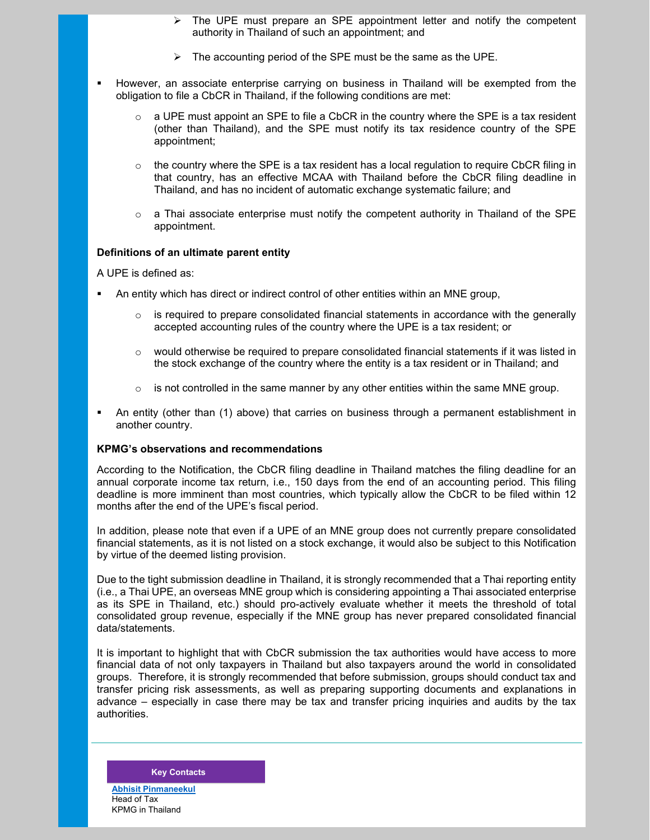- The UPE must prepare an SPE appointment letter and notify the competent authority in Thailand of such an appointment; and
- $\triangleright$  The accounting period of the SPE must be the same as the UPE.
- However, an associate enterprise carrying on business in Thailand will be exempted from the obligation to file a CbCR in Thailand, if the following conditions are met:
	- $\circ$  a UPE must appoint an SPE to file a CbCR in the country where the SPE is a tax resident (other than Thailand), and the SPE must notify its tax residence country of the SPE appointment;
	- o the country where the SPE is a tax resident has a local regulation to require CbCR filing in that country, has an effective MCAA with Thailand before the CbCR filing deadline in Thailand, and has no incident of automatic exchange systematic failure; and
	- $\circ$  a Thai associate enterprise must notify the competent authority in Thailand of the SPE appointment.

#### **Definitions of an ultimate parent entity**

A UPE is defined as:

- An entity which has direct or indirect control of other entities within an MNE group,
	- $\circ$  is required to prepare consolidated financial statements in accordance with the generally accepted accounting rules of the country where the UPE is a tax resident; or
	- $\circ$  would otherwise be required to prepare consolidated financial statements if it was listed in the stock exchange of the country where the entity is a tax resident or in Thailand; and
	- $\circ$  is not controlled in the same manner by any other entities within the same MNE group.
- An entity (other than (1) above) that carries on business through a permanent establishment in another country.

### **KPMG's observations and recommendations**

According to the Notification, the CbCR filing deadline in Thailand matches the filing deadline for an annual corporate income tax return, i.e., 150 days from the end of an accounting period. This filing deadline is more imminent than most countries, which typically allow the CbCR to be filed within 12 months after the end of the UPE's fiscal period.

In addition, please note that even if a UPE of an MNE group does not currently prepare consolidated financial statements, as it is not listed on a stock exchange, it would also be subject to this Notification by virtue of the deemed listing provision.

Due to the tight submission deadline in Thailand, it is strongly recommended that a Thai reporting entity (i.e., a Thai UPE, an overseas MNE group which is considering appointing a Thai associated enterprise as its SPE in Thailand, etc.) should pro-actively evaluate whether it meets the threshold of total consolidated group revenue, especially if the MNE group has never prepared consolidated financial data/statements.

It is important to highlight that with CbCR submission the tax authorities would have access to more financial data of not only taxpayers in Thailand but also taxpayers around the world in consolidated groups. Therefore, it is strongly recommended that before submission, groups should conduct tax and transfer pricing risk assessments, as well as preparing supporting documents and explanations in advance – especially in case there may be tax and transfer pricing inquiries and audits by the tax authorities.

#### **Key Contacts**

**[Abhisit Pinmaneekul](mailto:abhisit@kpmg.co.th)** Head of Tax KPMG in Thailand